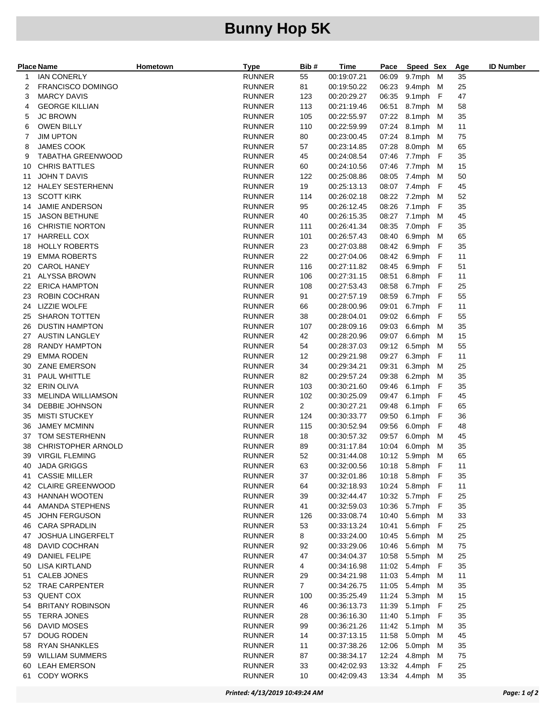## **Bunny Hop 5K**

|     | <b>Place Name</b>         | Hometown | <b>Type</b>   | Bib #          | Time        | Pace  | Speed Sex        |    | Age | <b>ID Number</b> |
|-----|---------------------------|----------|---------------|----------------|-------------|-------|------------------|----|-----|------------------|
| 1   | <b>IAN CONERLY</b>        |          | <b>RUNNER</b> | 55             | 00:19:07.21 | 06:09 | 9.7mph M         |    | 35  |                  |
| 2   | <b>FRANCISCO DOMINGO</b>  |          | <b>RUNNER</b> | 81             | 00:19:50.22 | 06:23 | 9.4mph M         |    | 25  |                  |
| З   | <b>MARCY DAVIS</b>        |          | <b>RUNNER</b> | 123            | 00:20:29.27 | 06:35 | 9.1mph F         |    | 47  |                  |
| 4   | <b>GEORGE KILLIAN</b>     |          | <b>RUNNER</b> | 113            | 00:21:19.46 | 06:51 | 8.7mph M         |    | 58  |                  |
| 5   | <b>JC BROWN</b>           |          | <b>RUNNER</b> | 105            | 00:22:55.97 | 07:22 | 8.1mph M         |    | 35  |                  |
| 6   | <b>OWEN BILLY</b>         |          | <b>RUNNER</b> | 110            | 00:22:59.99 | 07:24 | 8.1mph           | M  | 11  |                  |
| 7   | <b>JIM UPTON</b>          |          | <b>RUNNER</b> | 80             | 00:23:00.45 | 07:24 | 8.1mph M         |    | 75  |                  |
| 8   | <b>JAMES COOK</b>         |          | <b>RUNNER</b> | 57             | 00:23:14.85 | 07:28 | 8.0mph M         |    | 65  |                  |
| 9   | <b>TABATHA GREENWOOD</b>  |          | <b>RUNNER</b> | 45             | 00:24:08.54 | 07:46 | 7.7mph F         |    | 35  |                  |
| 10  | <b>CHRIS BATTLES</b>      |          | <b>RUNNER</b> | 60             | 00:24:10.56 | 07:46 | 7.7mph M         |    | 15  |                  |
| 11  | <b>JOHN T DAVIS</b>       |          | <b>RUNNER</b> | 122            | 00:25:08.86 | 08:05 | 7.4mph M         |    | 50  |                  |
| 12  | HALEY SESTERHENN          |          | <b>RUNNER</b> | 19             | 00:25:13.13 | 08:07 | 7.4mph           | F  | 45  |                  |
| 13  | <b>SCOTT KIRK</b>         |          | <b>RUNNER</b> | 114            | 00:26:02.18 | 08:22 | 7.2mph M         |    | 52  |                  |
| 14  | JAMIE ANDERSON            |          | <b>RUNNER</b> | 95             | 00:26:12.45 | 08:26 | 7.1mph F         |    | 35  |                  |
| 15  | <b>JASON BETHUNE</b>      |          | <b>RUNNER</b> | 40             | 00:26:15.35 | 08:27 | 7.1mph           | M  | 45  |                  |
| 16  | <b>CHRISTIE NORTON</b>    |          | <b>RUNNER</b> | 111            | 00:26:41.34 | 08:35 | 7.0mph F         |    | 35  |                  |
| 17  | <b>HARRELL COX</b>        |          | <b>RUNNER</b> | 101            | 00:26:57.43 | 08:40 | 6.9mph M         |    | 65  |                  |
| 18  | <b>HOLLY ROBERTS</b>      |          | <b>RUNNER</b> | 23             | 00:27:03.88 | 08:42 | 6.9mph           | F  | 35  |                  |
| 19  | <b>EMMA ROBERTS</b>       |          | <b>RUNNER</b> | 22             | 00:27:04.06 | 08:42 | 6.9mph           | F  | 11  |                  |
| 20  | <b>CAROL HANEY</b>        |          | <b>RUNNER</b> | 116            | 00:27:11.82 | 08:45 | 6.9mph F         |    | 51  |                  |
| 21  | ALYSSA BROWN              |          | <b>RUNNER</b> | 106            | 00:27:31.15 | 08:51 | 6.8mph F         |    | 11  |                  |
| 22  | <b>ERICA HAMPTON</b>      |          | <b>RUNNER</b> | 108            | 00:27:53.43 | 08:58 | 6.7mph F         |    | 25  |                  |
| 23  | ROBIN COCHRAN             |          | <b>RUNNER</b> | 91             | 00:27:57.19 | 08:59 | 6.7mph F         |    | 55  |                  |
| 24  | <b>LIZZIE WOLFE</b>       |          | <b>RUNNER</b> | 66             | 00:28:00.96 | 09:01 | 6.7mph           | -F | 11  |                  |
| 25  | <b>SHARON TOTTEN</b>      |          | <b>RUNNER</b> | 38             | 00:28:04.01 | 09:02 | 6.6mph           | -F | 55  |                  |
| 26  | <b>DUSTIN HAMPTON</b>     |          | <b>RUNNER</b> | 107            | 00:28:09.16 | 09:03 | 6.6mph           | M  | 35  |                  |
| 27  | <b>AUSTIN LANGLEY</b>     |          | <b>RUNNER</b> | 42             | 00:28:20.96 | 09:07 | 6.6mph           | M  | 15  |                  |
| 28  | <b>RANDY HAMPTON</b>      |          | <b>RUNNER</b> | 54             | 00:28:37.03 | 09:12 | 6.5mph M         |    | 55  |                  |
| 29  | <b>EMMA RODEN</b>         |          | <b>RUNNER</b> | 12             | 00:29:21.98 | 09:27 | 6.3mph           | F  | 11  |                  |
| 30  | ZANE EMERSON              |          | <b>RUNNER</b> | 34             | 00:29:34.21 | 09:31 | 6.3mph           | M  | 25  |                  |
| 31  | PAUL WHITTLE              |          | <b>RUNNER</b> | 82             | 00:29:57.24 | 09:38 | 6.2mph M         |    | 35  |                  |
| 32  | ERIN OLIVA                |          | <b>RUNNER</b> | 103            | 00:30:21.60 | 09:46 | 6.1mph F         |    | 35  |                  |
| 33  | MELINDA WILLIAMSON        |          | <b>RUNNER</b> | 102            | 00:30:25.09 | 09:47 | 6.1mph F         |    | 45  |                  |
| 34  | DEBBIE JOHNSON            |          | <b>RUNNER</b> | $\overline{2}$ | 00:30:27.21 | 09:48 | 6.1mph F         |    | 65  |                  |
| 35  | <b>MISTI STUCKEY</b>      |          | <b>RUNNER</b> | 124            | 00:30:33.77 | 09:50 | 6.1mph           | F  | 36  |                  |
| 36  | <b>JAMEY MCMINN</b>       |          | <b>RUNNER</b> | 115            | 00:30:52.94 | 09:56 | 6.0mph           | F  | 48  |                  |
| 37  | TOM SESTERHENN            |          | <b>RUNNER</b> | 18             | 00:30:57.32 | 09:57 | 6.0mph           | M  | 45  |                  |
| 38  | <b>CHRISTOPHER ARNOLD</b> |          | <b>RUNNER</b> | 89             | 00:31:17.84 | 10:04 | 6.0mph           | M  | 35  |                  |
| 39  | <b>VIRGIL FLEMING</b>     |          | <b>RUNNER</b> | 52             | 00:31:44.08 |       | 10:12 5.9mph M   |    | 65  |                  |
|     | 40 JADA GRIGGS            |          | <b>RUNNER</b> | 63             | 00:32:00.56 |       | 10:18 5.8mph F   |    | 11  |                  |
| 41. | <b>CASSIE MILLER</b>      |          | <b>RUNNER</b> | 37             | 00:32:01.86 |       | 10:18 5.8mph F   |    | 35  |                  |
| 42  | <b>CLAIRE GREENWOOD</b>   |          | <b>RUNNER</b> | 64             | 00:32:18.93 |       | 10:24 5.8mph F   |    | 11  |                  |
|     | 43 HANNAH WOOTEN          |          | <b>RUNNER</b> | 39             | 00:32:44.47 |       | 10:32 5.7mph F   |    | 25  |                  |
| 44  | AMANDA STEPHENS           |          | RUNNER        | 41             | 00:32:59.03 |       | 10:36 5.7mph F   |    | 35  |                  |
| 45  | JOHN FERGUSON             |          | <b>RUNNER</b> | 126            | 00:33:08.74 | 10:40 | 5.6mph M         |    | 33  |                  |
| 46  | <b>CARA SPRADLIN</b>      |          | <b>RUNNER</b> | 53             | 00:33:13.24 | 10:41 | 5.6mph F         |    | 25  |                  |
| 47  | <b>JOSHUA LINGERFELT</b>  |          | <b>RUNNER</b> | 8              | 00:33:24.00 |       | 10:45 5.6mph M   |    | 25  |                  |
| 48  | DAVID COCHRAN             |          | <b>RUNNER</b> | 92             | 00:33:29.06 | 10:46 | 5.6mph M         |    | 75  |                  |
| 49  | DANIEL FELIPE             |          | <b>RUNNER</b> | 47             | 00:34:04.37 |       | 10:58 5.5mph M   |    | 25  |                  |
| 50  | LISA KIRTLAND             |          | RUNNER        | 4              | 00:34:16.98 |       | 11:02 5.4mph F   |    | 35  |                  |
| 51  | <b>CALEB JONES</b>        |          | <b>RUNNER</b> | 29             | 00:34:21.98 | 11:03 | 5.4mph M         |    | 11  |                  |
| 52  | <b>TRAE CARPENTER</b>     |          | <b>RUNNER</b> | $7^{\circ}$    | 00:34:26.75 |       | 11:05 5.4mph M   |    | 35  |                  |
| 53  | <b>QUENT COX</b>          |          | <b>RUNNER</b> | 100            | 00:35:25.49 |       | 11:24 5.3mph M   |    | 15  |                  |
| 54  | <b>BRITANY ROBINSON</b>   |          | <b>RUNNER</b> | 46             | 00:36:13.73 | 11:39 | 5.1mph F         |    | 25  |                  |
| 55  | <b>TERRA JONES</b>        |          | <b>RUNNER</b> | 28             | 00:36:16.30 | 11:40 | 5.1mph F         |    | 35  |                  |
| 56  | DAVID MOSES               |          | RUNNER        | 99             | 00:36:21.26 |       | 11:42 5.1mph M   |    | 35  |                  |
| 57  | DOUG RODEN                |          | <b>RUNNER</b> | 14             | 00:37:13.15 | 11:58 | 5.0mph M         |    | 45  |                  |
| 58  | <b>RYAN SHANKLES</b>      |          | <b>RUNNER</b> | 11             | 00:37:38.26 |       | 12:06 5.0mph M   |    | 35  |                  |
| 59  | <b>WILLIAM SUMMERS</b>    |          | <b>RUNNER</b> | 87             | 00:38:34.17 |       | 12:24  4.8mph  M |    | 75  |                  |
| 60  | <b>LEAH EMERSON</b>       |          | <b>RUNNER</b> | 33             | 00:42:02.93 | 13:32 | 4.4mph F         |    | 25  |                  |
| 61  | <b>CODY WORKS</b>         |          | <b>RUNNER</b> | 10             | 00:42:09.43 |       | 13:34  4.4mph  M |    | 35  |                  |